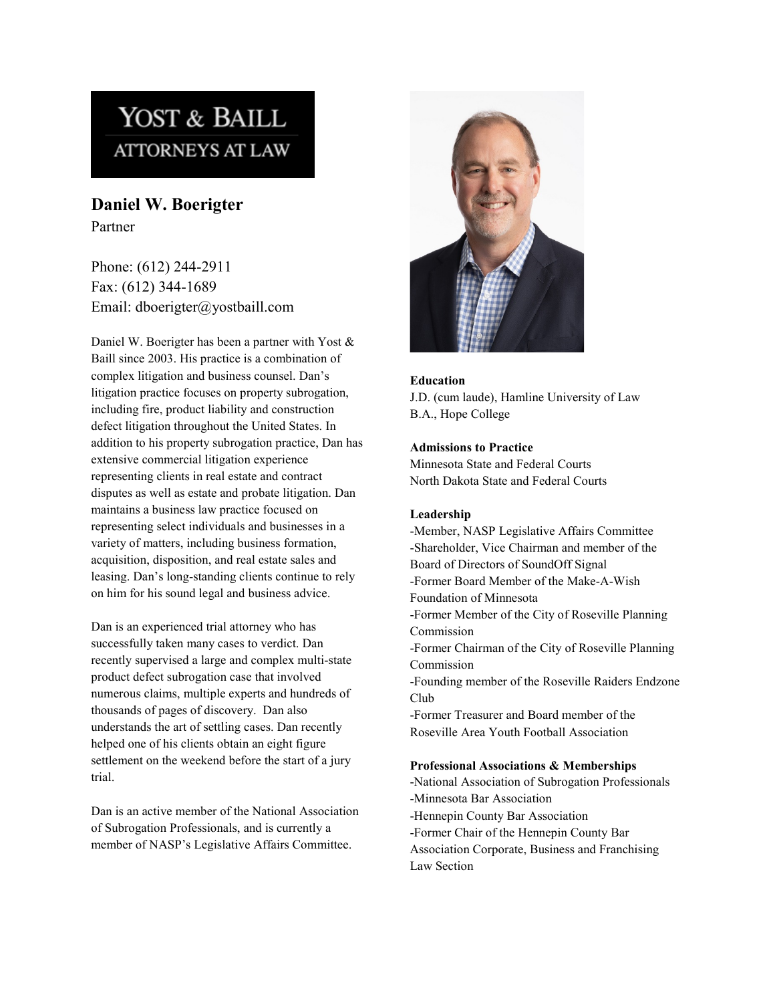# YOST & BAILL **ATTORNEYS AT LAW**

**Daniel W. Boerigter** Partner

Phone: (612) 244-2911 Fax: (612) 344-1689 Email: dboerigter@yostbaill.com

Daniel W. Boerigter has been a partner with Yost & Baill since 2003. His practice is a combination of complex litigation and business counsel. Dan's litigation practice focuses on property subrogation, including fire, product liability and construction defect litigation throughout the United States. In addition to his property subrogation practice, Dan has extensive commercial litigation experience representing clients in real estate and contract disputes as well as estate and probate litigation. Dan maintains a business law practice focused on representing select individuals and businesses in a variety of matters, including business formation, acquisition, disposition, and real estate sales and leasing. Dan's long-standing clients continue to rely on him for his sound legal and business advice.

Dan is an experienced trial attorney who has successfully taken many cases to verdict. Dan recently supervised a large and complex multi-state product defect subrogation case that involved numerous claims, multiple experts and hundreds of thousands of pages of discovery. Dan also understands the art of settling cases. Dan recently helped one of his clients obtain an eight figure settlement on the weekend before the start of a jury trial.

Dan is an active member of the National Association of Subrogation Professionals, and is currently a member of NASP's Legislative Affairs Committee.



### **Education**

J.D. (cum laude), Hamline University of Law B.A., Hope College

#### **Admissions to Practice**

Minnesota State and Federal Courts North Dakota State and Federal Courts

#### **Leadership**

-Member, NASP Legislative Affairs Committee -Shareholder, Vice Chairman and member of the Board of Directors of SoundOff Signal -Former Board Member of the Make-A-Wish Foundation of Minnesota -Former Member of the City of Roseville Planning Commission -Former Chairman of the City of Roseville Planning Commission -Founding member of the Roseville Raiders Endzone Club -Former Treasurer and Board member of the Roseville Area Youth Football Association

## **Professional Associations & Memberships**

-National Association of Subrogation Professionals -Minnesota Bar Association -Hennepin County Bar Association -Former Chair of the Hennepin County Bar Association Corporate, Business and Franchising Law Section